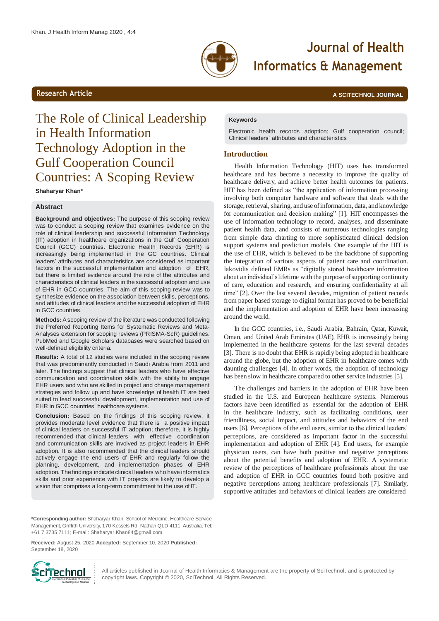

# **Journal of Health Informatics & Management**

**Research Article And The Science Article A SCITECHNOL JOURNAL** 

# The Role of Clinical Leadership in Health Information Technology Adoption in the Gulf Cooperation Council Countries: A Scoping Review

**Shaharyar Khan\***

# **Abstract**

**Background and objectives:** The purpose of this scoping review was to conduct a scoping review that examines evidence on the role of clinical leadership and successful Information Technology (IT) adoption in healthcare organizations in the Gulf Cooperation Council (GCC) countries. Electronic Health Records (EHR) is increasingly being implemented in the GC countries. Clinical leaders' attributes and characteristics are considered as important factors in the successful implementation and adoption of EHR, but there is limited evidence around the role of the attributes and characteristics of clinical leaders in the successful adoption and use of EHR in GCC countries. The aim of this scoping review was to synthesize evidence on the association between skills, perceptions, and attitudes of clinical leaders and the successful adoption of EHR in GCC countries.

**Methods:** Ascoping review of the literature was conducted following the Preferred Reporting Items for Systematic Reviews and Meta-Analyses extension for scoping reviews (PRISMA-ScR) guidelines. PubMed and Google Scholars databases were searched based on well-defined eligibility criteria.

**Results:** A total of 12 studies were included in the scoping review that was predominantly conducted in Saudi Arabia from 2011 and later. The findings suggest that clinical leaders who have effective communication and coordination skills with the ability to engage EHR users and who are skilled in project and change management strategies and follow up and have knowledge of health IT are best suited to lead successful development, implementation and use of EHR in GCC countries' healthcare systems.

**Conclusion:** Based on the findings of this scoping review, it provides moderate level evidence that there is a positive impact of clinical leaders on successful IT adoption; therefore, it is highly recommended that clinical leaders with effective coordination and communication skills are involved as project leaders in EHR adoption. It is also recommended that the clinical leaders should actively engage the end users of EHR and regularly follow the planning, development, and implementation phases of EHR adoption. The findings indicate clinical leaders who have informatics skills and prior experience with IT projects are likely to develop a vision that comprises a long-term commitment to the use of IT.

### **Keywords**

Electronic health records adoption; Gulf cooperation council; Clinical leaders' attributes and characteristics

# **Introduction**

Health Information Technology (HIT) uses has transformed healthcare and has become a necessity to improve the quality of healthcare delivery, and achieve better health outcomes for patients. HIT has been defined as "the application of information processing involving both computer hardware and software that deals with the storage, retrieval, sharing, and use of information, data, and knowledge for communication and decision making" [1]. HIT encompasses the use of information technology to record, analyses, and disseminate patient health data, and consists of numerous technologies ranging from simple data charting to more sophisticated clinical decision support systems and prediction models. One example of the HIT is the use of EHR, which is believed to be the backbone of supporting the integration of various aspects of patient care and coordination. Iakovidis defined EMRs as "digitally stored healthcare information about an individual's lifetime with the purpose of supporting continuity of care, education and research, and ensuring confidentiality at all time" [2]. Over the last several decades, migration of patient records from paper based storage to digital format has proved to be beneficial and the implementation and adoption of EHR have been increasing around the world.

In the GCC countries, i.e., Saudi Arabia, Bahrain, Qatar, Kuwait, Oman, and United Arab Emirates (UAE), EHR is increasingly being implemented in the healthcare systems for the last several decades [3]. There is no doubt that EHR is rapidly being adopted in healthcare around the globe, but the adoption of EHR in healthcare comes with daunting challenges [4]. In other words, the adoption of technology has been slow in healthcare compared to other service industries [5].

The challenges and barriers in the adoption of EHR have been studied in the U.S. and European healthcare systems. Numerous factors have been identified as essential for the adoption of EHR in the healthcare industry, such as facilitating conditions, user friendliness, social impact, and attitudes and behaviors of the end users [6]. Perceptions of the end users, similar to the clinical leaders' perceptions, are considered as important factor in the successful implementation and adoption of EHR [4]. End users, for example physician users, can have both positive and negative perceptions about the potential benefits and adoption of EHR. A systematic review of the perceptions of healthcare professionals about the use and adoption of EHR in GCC countries found both positive and negative perceptions among healthcare professionals [7]. Similarly, supportive attitudes and behaviors of clinical leaders are considered

**Received:** August 25, 2020 **Accepted:** September 10, 2020 **Published:** September 18, 2020



All articles published in Journal of Health Informatics & Management are the property of SciTechnol, and is protected by copyright laws. Copyright © 2020, SciTechnol, All Rights Reserved.

**<sup>\*</sup>Corresponding author:** Shaharyar Khan, School of Medicine, Healthcare Service Management, Griffith University, 170 Kessels Rd, Nathan QLD 4111, Australia, Tel: +61 7 3735 7111; E-mail[: Shaharyar.Khan84@gmail.com](mailto:Shaharyar.Khan84@gmail.com)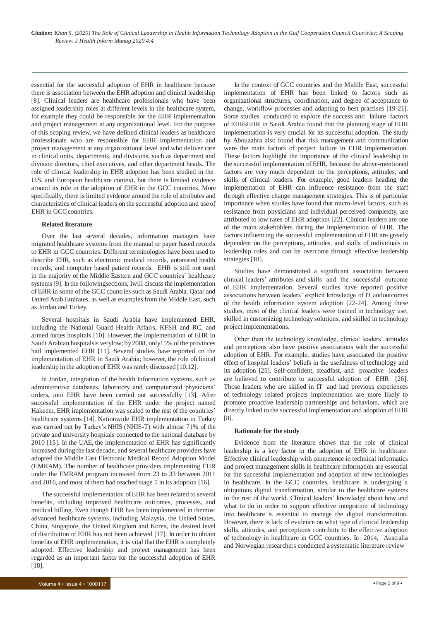essential for the successful adoption of EHR in healthcare because there is association between the EHR adoption and clinical leadership [8]. Clinical leaders are healthcare professionals who have been assigned leadership roles at different levels in the healthcare system, for example they could be responsible for the EHR implementation and project management at any organizational level. For the purpose of this scoping review, we have defined clinical leaders as healthcare professionals who are responsible for EHR implementation and project management at any organizational level and who deliver care in clinical units, departments, and divisions, such as department and division directors, chief executives, and other department heads. The role of clinical leadership in EHR adoption has been studied in the U.S. and European healthcare context, but there is limited evidence around its role in the adoption of EHR in the GCC countries. More specifically, there is limited evidence around the role of attributes and characteristics of clinical leaders on the successful adoption and use of EHR in GCC countries.

# **Related literature**

Over the last several decades, information managers have migrated healthcare systems from the manual or paper based records to EHR in GCC countries. Different terminologies have been used to describe EHR, such as electronic medical records, automated health records, and computer based patient records. EHR is still not used in the majority of the Middle Eastern and GCC countries' healthcare systems [9]. In the following sections, Iwill discuss the implementation of EHR in some of the GCC countries such as Saudi Arabia, Qatar and United Arab Emirates, as well as examples from the Middle East, such as Jordan andTurkey.

Several hospitals in Saudi Arabia have implemented EHR, including the National Guard Health Affairs, KFSH and RC, and armed forces hospitals [10]. However, the implementation of EHR in Saudi Arabian hospitalsis verylow; by2008, only15% ofthe provinces had implemented EHR [11]. Several studies have reported on the implementation of EHR in Saudi Arabia; however, the role ofclinical leadership in the adoption of EHR was rarely discussed [10,12].

In Jordan, integration of the health information systems, such as administrative databases, laboratory and computerized physicians' orders, into EHR have been carried out successfully [13]. After successful implementation of the EHR under the project named Hakeem, EHR implementation was scaled to the rest of the countries' healthcare systems [14]. Nationwide EHR implementation in Turkey was carried out by Turkey's NHIS (NHIS-T) with almost 71% of the private and university hospitals connected to the national database by 2010 [15]. In the UAE, the implementation of EHR has significantly increased during the last decade, and several healthcare providers have adopted the Middle East Electronic Medical Record Adoption Model (EMRAM). The number of healthcare providers implementing EHR under the EMRAM program increased from 23 to 33 between 2011 and 2016, and most of them had reached stage 5 in its adoption [16].

The successful implementation of EHR has been related to several benefits, including improved healthcare outcomes, processes, and medical billing. Even though EHR has been implemented in themost advanced healthcare systems, including Malaysia, the United States, China, Singapore, the United Kingdom and Korea, the desired level of distribution of EHR has not been achieved [17]. In order to obtain benefits of EHR implementation, it is vital that the EHR is completely adopted. Effective leadership and project management has been regarded as an important factor for the successful adoption of EHR [18].

In the context of GCC countries and the Middle East, successful implementation of EHR has been linked to factors such as organizational structures, coordination, and degree of acceptance to change, workflow processes and adapting to best practises [19-21]. Some studies conducted to explore the success and failure factors of EHRsEHR in Saudi Arabia found that the planning stage of EHR implementation is very crucial for its successful adoption. The study by Abouzahra also found that risk management and communication were the main factors of project failure in EHR implementation. These factors highlight the importance of the clinical leadership in the successful implementation of EHR, because the above-mentioned factors are very much dependent on the perceptions, attitudes, and skills of clinical leaders. For example, good leaders heading the implementation of EHR can influence resistance from the staff through effective change management strategies. This is of particular importance when studies have found that micro-level factors, such as resistance from physicians and individual perceived complexity, are attributed to low rates of EHR adoption [22]. Clinical leaders are one of the main stakeholders during the implementation of EHR. The factors influencing the successful implementation of EHR are greatly dependent on the perceptions, attitudes, and skills of individuals in leadership roles and can be overcome through effective leadership strategies [18].

Studies have demonstrated a significant association between clinical leaders' attributes and skills and the successful outcome of EHR implementation. Several studies have reported positive associations between leaders' explicit knowledge of IT andoutcomes of the health information system adoption [22-24]. Among these studies, most of the clinical leaders were trained in technology use, skilled in customizing technology solutions, and skilled in technology project implementations.

Other than the technology knowledge, clinical leaders' attitudes and perceptions also have positive associations with the successful adoption of EHR. For example, studies have associated the positive effect of hospital leaders' beliefs in the usefulness of technology and its adoption [25]. Self-confident, steadfast, and proactive leaders are believed to contribute to successful adoption of EHR [26]. Those leaders who are skilled in IT and had previous experiences of technology related projects implementation are more likely to promote proactive leadership partnerships and behaviors, which are directly linked to the successful implementation and adoption of EHR [8].

#### **Rationale for the study**

Evidence from the literature shows that the role of clinical leadership is a key factor in the adoption of EHR in healthcare. Effective clinical leadership with competence in technical informatics and project management skills in healthcare information are essential for the successful implementation and adoption of new technologies in healthcare. In the GCC countries, healthcare is undergoing a ubiquitous digital transformation, similar to the healthcare systems in the rest of the world. Clinical leaders' knowledge about how and what to do in order to support effective integration of technology into healthcare is essential to manage the digital transformation. However, there is lack of evidence on what type of clinical leadership skills, attitudes, and perceptions contribute to the effective adoption of technology in healthcare in GCC countries. In 2014, Australia and Norwegian researchers conducted a systematic literature review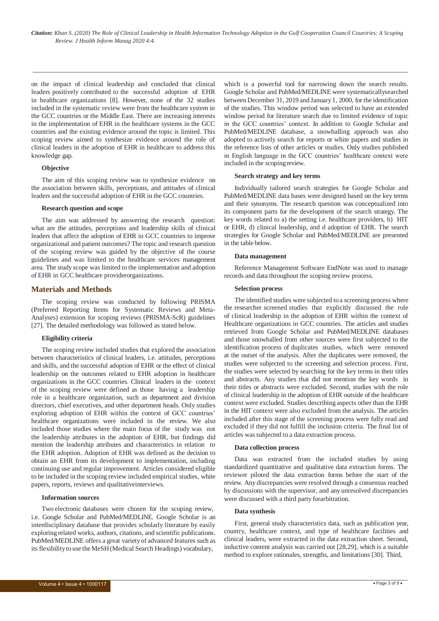on the impact of clinical leadership and concluded that clinical leaders positively contributed to the successful adoption of EHR in healthcare organizations [8]. However, none of the 32 studies included in the systematic review were from the healthcare system in the GCC countries or the Middle East. There are increasing interests in the implementation of EHR in the healthcare systems in the GCC countries and the existing evidence around the topic is limited. This scoping review aimed to synthesize evidence around the role of clinical leaders in the adoption of EHR in healthcare to address this knowledge gap.

# **Objective**

The aim of this scoping review was to synthesize evidence on the association between skills, perceptions, and attitudes of clinical leaders and the successful adoption of EHR in the GCC countries.

#### **Research question and scope**

The aim was addressed by answering the research question: what are the attitudes, perceptions and leadership skills of clinical leaders that affect the adoption of EHR in GCC countries to improve organizational and patient outcomes? The topic and research question of the scoping review was guided by the objective of the course guidelines and was limited to the healthcare services management area. The study scope was limited to the implementation and adoption of EHR in GCC healthcare providerorganizations.

# **Materials and Methods**

The scoping review was conducted by following PRISMA (Preferred Reporting Items for Systematic Reviews and Meta-Analyses) extension for scoping reviews (PRISMA-ScR) guidelines [27]. The detailed methodology was followed as stated below.

# **Eligibility criteria**

The scoping review included studies that explored the association between characteristics of clinical leaders, i.e. attitudes, perceptions and skills, and the successful adoption of EHR or the effect of clinical leadership on the outcomes related to EHR adoption in healthcare organizations in the GCC countries. Clinical leaders in the context of the scoping review were defined as those having a leadership role in a healthcare organization, such as department and division directors, chief executives, and other department heads. Only studies exploring adoption of EHR within the context of GCC countries' healthcare organizations were included in the review. We also included those studies where the main focus of the study was not the leadership attributes in the adoption of EHR, but findings did mention the leadership attributes and characteristics in relation to the EHR adoption. Adoption of EHR was defined as the decision to obtain an EHR from its development to implementation, including continuing use and regular improvement. Articles considered eligible to be included in the scoping review included empirical studies, white papers, reports, reviews and qualitativeinterviews.

# **Information sources**

Two electronic databases were chosen for the scoping review, i.e. Google Scholar and PubMed/MEDLINE. Google Scholar is an interdisciplinary database that provides scholarly literature by easily exploring related works, authors, citations, and scientific publications. PubMed/MEDLINE offers a great variety of advanced features such as its flexibility to use the MeSH (Medical Search Headings) vocabulary,

which is a powerful tool for narrowing down the search results. Google Scholar and PubMed/MEDLINE were systematicallysearched between December 31, 2019 and January 1, 2000, for the identification of the studies. This window period was selected to have an extended window period for literature search due to limited evidence of topic in the GCC countries' context. In addition to Google Scholar and PubMed/MEDLINE database, a snowballing approach was also adopted to actively search for reports or white papers and studies in the reference lists of other articles or studies. Only studies published in English language in the GCC countries' healthcare context were included in the scopingreview.

### **Search strategy and key terms**

Individually tailored search strategies for Google Scholar and PubMed/MEDLINE data bases were designed based on the key terms and their synonyms. The research question was conceptualized into its component parts for the development of the search strategy. The key words related to a) the setting i.e. healthcare providers, b) HIT or EHR, d) clinical leadership, and d adoption of EHR. The search strategies for Google Scholar and PubMed/MEDLINE are presented in the table below.

#### **Data management**

Reference Management Software EndNote was used to manage records and data throughout the scoping review process.

#### **Selection process**

The identified studies were subjected to a screening process where the researcher screened studies that explicitly discussed the role of clinical leadership in the adoption of EHR within the context of Healthcare organizations in GCC countries. The articles and studies retrieved from Google Scholar and PubMed/MEDLINE databases and those snowballed from other sources were first subjected to the identification process of duplicates studies, which were removed at the outset of the analysis. After the duplicates were removed, the studies were subjected to the screening and selection process. First, the studies were selected by searching for the key terms in their titles and abstracts. Any studies that did not mention the key words in their titles or abstracts were excluded. Second, studies with the role of clinical leadership in the adoption of EHR outside of the healthcare context were excluded. Studies describing aspects other than the EHR in the HIT context were also excluded from the analysis. The articles included after this stage of the screening process were fully read and excluded if they did not fulfill the inclusion criteria. The final list of articles wassubjected to a data extraction process.

#### **Data collection process**

Data was extracted from the included studies by using standardized quantitative and qualitative data extraction forms. The reviewer piloted the data extraction forms before the start of the review. Any discrepancies were resolved through a consensus reached by discussions with the supervisor, and any unresolved discrepancies were discussed with a third party forarbitration.

#### **Data synthesis**

First, general study characteristics data, such as publication year, country, healthcare context, and type of healthcare facilities and clinical leaders, were extracted in the data extraction sheet. Second, inductive content analysis was carried out [28,29], which is a suitable method to explore rationales, strengths, and limitations [30]. Third,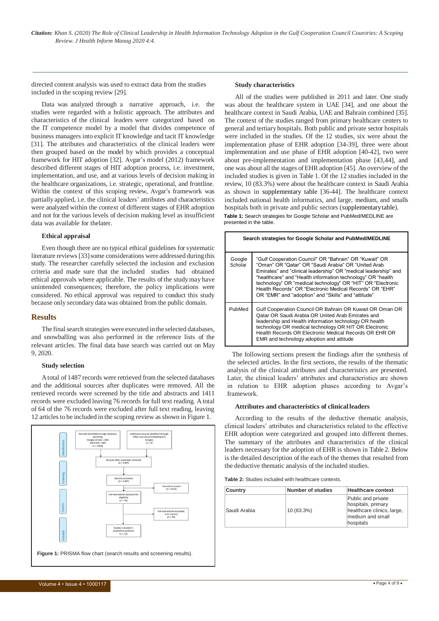*Citation: Khan S. (2020) The Role of Clinical Leadership in Health Information Technology Adoption in the Gulf Cooperation Council Countries: A Scoping Review. J Health Inform Manag 2020 4:4.*

directed content analysis was used to extract data from the studies included in the scoping review [29].

Data was analyzed through a narrative approach, i.e. the studies were regarded with a holistic approach. The attributes and characteristics of the clinical leaders were categorized based on the IT competence model by a model that divides competence of business managers into explicit IT knowledge and tacit IT knowledge [31]. The attributes and characteristics of the clinical leaders were then grouped based on the model by which provides a conceptual framework for HIT adoption [32]. Avgar's model (2012) framework described different stages of HIT adoption process, i.e. investment, implementation, and use, and at various levels of decision making in the healthcare organizations, i.e. strategic, operational, and frontline. Within the context of this scoping review, Avgar's framework was partially applied, i.e. the clinical leaders' attributes and characteristics were analyzed within the context of different stages of EHR adoption and not for the various levels of decision making level as insufficient data was available for thelater.

### **Ethical appraisal**

Even though there are no typical ethical guidelines forsystematic literature reviews [33] some considerations were addressed during this study. The researcher carefully selected the inclusion and exclusion criteria and made sure that the included studies had obtained ethical approvals where applicable. The results of the studymay have unintended consequences; therefore, the policy implications were considered. No ethical approval was required to conduct this study because only secondary data was obtained from the public domain.

#### **Results**

The final search strategies were executed in the selected databases, and snowballing was also performed in the reference lists of the relevant articles. The final data base search was carried out on May 9, 2020.

#### **Study selection**

Atotal of 1487 records were retrieved from the selected databases and the additional sources after duplicates were removed. All the retrieved records were screened by the title and abstracts and 1411 records were excluded leaving 76 records for full text reading. A total of 64 of the 76 records were excluded after full text reading, leaving 12 articles to be included in the scoping review asshown in Figure 1.



# **Study characteristics**

All of the studies were published in 2011 and later. One study was about the healthcare system in UAE [34], and one about the healthcare context in Saudi Arabia, UAE and Bahrain combined [35]. The context of the studies ranged from primary healthcare centers to general and tertiary hospitals. Both public and private sector hospitals were included in the studies. Of the 12 studies, six were about the implementation phase of EHR adoption [34-39], three were about implementation and use phase of EHR adoption [40-42], two were about pre-implementation and implementation phase [43,44], and one was about all the stages ofEHR adoption [45]. An overview of the included studies is given in Table 1. Of the 12 studies included in the review, 10 (83.3%) were about the healthcare context in Saudi Arabia as shown in supplementary table [36-44]. The healthcare context included national health informatics, and large, medium, and smalls hospitals both in private and public sectors (supplementarytable). **Table 1:** Search strategies for Google Scholar and PubMed/MEDLINE are presented in the table.

| Search strategies for Google Scholar and PubMed/MEDLINE |                                                                                                                                                                                                                                                                                                                                                                                                                                   |  |  |  |
|---------------------------------------------------------|-----------------------------------------------------------------------------------------------------------------------------------------------------------------------------------------------------------------------------------------------------------------------------------------------------------------------------------------------------------------------------------------------------------------------------------|--|--|--|
| Google<br>Scholar                                       | "Gulf Cooperation Council" OR "Bahrain" OR "Kuwait" OR<br>"Oman" OR "Qatar" OR "Saudi Arabia" OR "United Arab<br>Emirates" and "clinical leadership" OR "medical leadership" and<br>"healthcare" and "Health information technology" OR "health<br>technology" OR "medical technology" OR "HIT" OR "Electronic<br>Health Records" OR "Electronic Medical Records" OR "EHR"<br>OR "EMR" and "adoption" and "Skills" and "attitude" |  |  |  |
| PubMed                                                  | Gulf Cooperation Council OR Bahrain OR Kuwait OR Oman OR<br>Oatar OR Saudi Arabia OR United Arab Emirates and<br>leadership and Health information technology OR health<br>technology OR medical technology OR HIT OR Electronic<br>Health Records OR Electronic Medical Records OR EHR OR<br>EMR and technology adoption and attitude                                                                                            |  |  |  |

The following sections present the findings after the synthesis of the selected articles. In the first sections, the results of the thematic analysis of the clinical attributes and characteristics are presented. Later, the clinical leaders' attributes and characteristics are shown in relation to EHR adoption phases according to Avgar's framework.

#### **Attributes and characteristics of clinical leaders**

According to the results of the deductive thematic analysis, clinical leaders' attributes and characteristics related to the effective EHR adoption were categorized and grouped into different themes. The summary of the attributes and characteristics of the clinical leaders necessary for the adoption of EHR is shown in Table 2. Below is the detailed description of the each of the themes that resulted from the deductive thematic analysis of the included studies.

**Table 2:** Studies included with healthcare contexts.

| Country      | <b>Number of studies</b> | <b>Healthcare context</b>                                                                               |
|--------------|--------------------------|---------------------------------------------------------------------------------------------------------|
| Saudi Arabia | 10 (83.3%)               | Public and private<br>hospitals, primary<br>healthcare clinics, large,<br>medium and small<br>hospitals |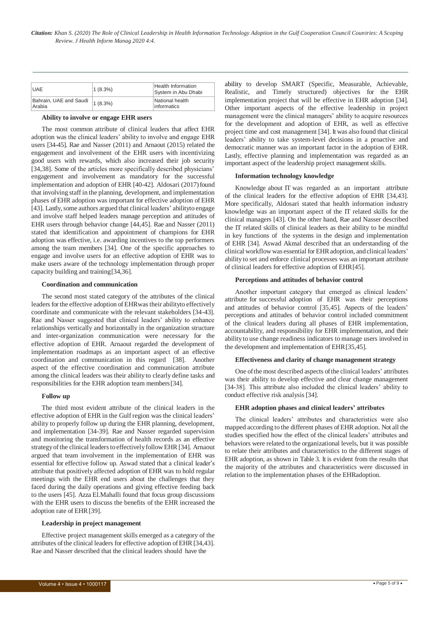| <b>UAE</b>                       | $1(8.3\%)$ | Health Information<br>System in Abu Dhabi |
|----------------------------------|------------|-------------------------------------------|
| Bahrain, UAE and Saudi<br>Arabia | $1(8.3\%)$ | National health<br>informatics            |

### **Ability to involve or engage EHR users**

The most common attribute of clinical leaders that affect EHR adoption was the clinical leaders' ability to involve and engage EHR users [34-45]. Rae and Nasser (2011) and Arnaout (2015) related the engagement and involvement of the EHR users with incentivizing good users with rewards, which also increased their job security [34,38]. Some of the articles more specifically described physicians' engagement and involvement as mandatory for the successful implementation and adoption of EHR [40-42]. Aldosari (2017) found that involving staff in the planning, development, and implementation phases of EHR adoption was important for effective adoption of EHR [43]. Lastly, some authors argued that clinical leaders' ability to engage and involve staff helped leaders manage perception and attitudes of EHR users through behavior change [44,45]. Rae and Nasser (2011) stated that identification and appointment of champions for EHR adoption was effective, i.e. awarding incentives to the top performers among the team members [34]. One of the specific approaches to engage and involve users for an effective adoption of EHR was to make users aware of the technology implementation through proper capacity building and training[34,36].

#### **Coordination and communication**

The second most stated category of the attributes of the clinical leaders for the effective adoption of EHR was their abilityto effectively coordinate and communicate with the relevant stakeholders [34-43]. Rae and Nasser suggested that clinical leaders' ability to enhance relationships vertically and horizontally in the organization structure and inter-organization communication were necessary for the effective adoption of EHR. Arnaout regarded the development of implementation roadmaps as an important aspect of an effective coordination and communication in this regard [38]. Another aspect of the effective coordination and communication attribute among the clinical leaders was their ability to clearly define tasks and responsibilities for the EHR adoption team members[34].

#### **Follow up**

The third most evident attribute of the clinical leaders in the effective adoption of EHR in the Gulf region was the clinical leaders' ability to properly follow up during the EHR planning, development, and implementation [34-39]. Rae and Nasser regarded supervision and monitoring the transformation of health records as an effective strategy of the clinical leaders to effectively follow EHR [34]. Arnaout argued that team involvement in the implementation of EHR was essential for effective follow up. Aswad stated that a clinical leader's attribute that positively affected adoption of EHR was to hold regular meetings with the EHR end users about the challenges that they faced during the daily operations and giving effective feeding back to the users [45]. Azza El.Mahalli found that focus group discussions with the EHR users to discuss the benefits of the EHR increased the adoption rate of EHR[39].

# **Leadership in project management**

Effective project management skills emerged as a category of the attributes of the clinical leaders for effective adoption of EHR [34,43]. Rae and Nasser described that the clinical leaders should have the

ability to develop SMART (Specific, Measurable, Achievable, Realistic, and Timely structured) objectives for the EHR implementation project that will be effective in EHR adoption [34]. Other important aspects of the effective leadership in project management were the clinical managers' ability to acquire resources for the development and adoption of EHR, as well as effective project time and cost management [34]. It was also found that clinical leaders' ability to take system-level decisions in a proactive and democratic manner was an important factor in the adoption of EHR. Lastly, effective planning and implementation was regarded as an important aspect of the leadership project management skills.

#### **Information technology knowledge**

Knowledge about IT was regarded as an important attribute of the clinical leaders for the effective adoption of EHR [34,43]. More specifically, Aldosari stated that health information industry knowledge was an important aspect of the IT related skills for the clinical managers [43]. On the other hand, Rae and Nasser described the IT related skills of clinical leaders as their ability to be mindful in key functions of the systems in the design and implementation of EHR [34]. Aswad Akmal described that an understanding of the clinical workflow was essential for EHRadoption, and clinical leaders' ability to set and enforce clinical processes was an important attribute of clinical leaders for effective adoption of EHR[45].

#### **Perceptions and attitudes of behavior control**

Another important category that emerged as clinical leaders' attribute for successful adoption of EHR was their perceptions and attitudes of behavior control [35,45]. Aspects of the leaders' perceptions and attitudes of behavior control included commitment of the clinical leaders during all phases of EHR implementation, accountability, and responsibility for EHR implementation, and their ability to use change readiness indicators to manage users involved in the development and implementation of EHR[35,45].

#### **Effectiveness and clarity of change management strategy**

One ofthe most described aspects ofthe clinical leaders' attributes was their ability to develop effective and clear change management [34-38]. This attribute also included the clinical leaders' ability to conduct effective risk analysis[34].

# **EHR adoption phases and clinical leaders' attributes**

The clinical leaders' attributes and characteristics were also mapped according to the different phases ofEHR adoption. Not all the studies specified how the effect of the clinical leaders' attributes and behaviors were related to the organizational levels, but it was possible to relate their attributes and characteristics to the different stages of EHR adoption, as shown in Table 3. It is evident from the results that the majority of the attributes and characteristics were discussed in relation to the implementation phases of the EHRadoption.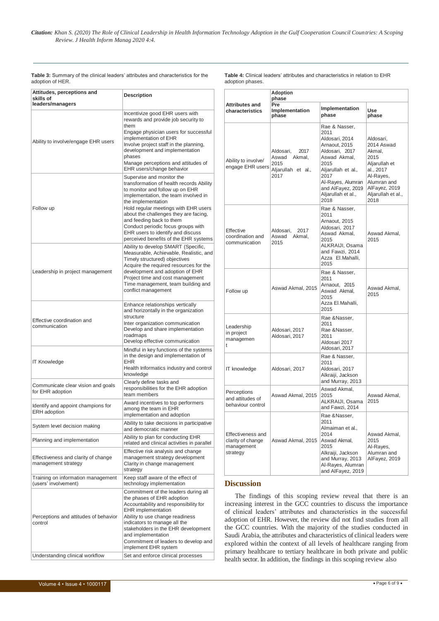*Citation: Khan S. (2020) The Role of Clinical Leadership in Health Information Technology Adoption in the Gulf Cooperation Council Countries: A Scoping Review. J Health Inform Manag 2020 4:4.*

| Attitudes, perceptions and<br>skills of<br>leaders/managers                         | Description                                                                                                                                                                                                                                                                                                                                                                                             |  |  |
|-------------------------------------------------------------------------------------|---------------------------------------------------------------------------------------------------------------------------------------------------------------------------------------------------------------------------------------------------------------------------------------------------------------------------------------------------------------------------------------------------------|--|--|
| Ability to involve/engage EHR users                                                 | Incentivize good EHR users with<br>rewards and provide job security to<br>them<br>Engage physician users for successful<br>implementation of EHR<br>Involve project staff in the planning,<br>development and implementation<br>phases<br>Manage perceptions and attitudes of<br>EHR users/change behavior                                                                                              |  |  |
| Follow up                                                                           | Supervise and monitor the<br>transformation of health records Ability<br>to monitor and follow up on EHR<br>implementation, the team involved in<br>the implementation<br>Hold regular meetings with EHR users<br>about the challenges they are facing,<br>and feeding back to them<br>Conduct periodic focus groups with<br>EHR users to identify and discuss<br>perceived benefits of the EHR systems |  |  |
| Leadership in project management                                                    | Ability to develop SMART (Specific,<br>Measurable, Achievable, Realistic, and<br>Timely structured) objectives<br>Acquire the required resources for the<br>development and adoption of EHR<br>Project time and cost management<br>Time management, team building and<br>conflict management                                                                                                            |  |  |
| Effective coordination and<br>communication                                         | Enhance relationships vertically<br>and horizontally in the organization<br>structure<br>Inter organization communication<br>Develop and share implementation<br>roadmaps<br>Develop effective communication                                                                                                                                                                                            |  |  |
| <b>IT Knowledge</b>                                                                 | Mindful in key functions of the systems<br>in the design and implementation of<br><b>EHR</b><br>Health Informatics industry and control<br>knowledge                                                                                                                                                                                                                                                    |  |  |
| Communicate clear vision and goals<br>for EHR adoption                              | Clearly define tasks and<br>responsibilities for the EHR adoption<br>team members                                                                                                                                                                                                                                                                                                                       |  |  |
| Identify and appoint champions for<br><b>ERH</b> adoption                           | Award incentives to top performers<br>among the team in EHR<br>implementation and adoption                                                                                                                                                                                                                                                                                                              |  |  |
| System level decision making                                                        | Ability to take decisions in participative<br>and democratic manner                                                                                                                                                                                                                                                                                                                                     |  |  |
| Planning and implementation                                                         | Ability to plan for conducting EHR<br>related and clinical activities in parallel                                                                                                                                                                                                                                                                                                                       |  |  |
| Effectiveness and clarity of change<br>management strategy                          | Effective risk analysis and change<br>management strategy development<br>Clarity in change management<br>strategy                                                                                                                                                                                                                                                                                       |  |  |
| Training on information management<br>(users' involvement)                          | Keep staff aware of the effect of<br>technology implementation                                                                                                                                                                                                                                                                                                                                          |  |  |
| Perceptions and attitudes of behavior<br>control<br>Understanding clinical workflow | Commitment of the leaders during all<br>the phases of EHR adoption<br>Accountability and responsibility for<br><b>EHR</b> implementation<br>Ability to use change readiness<br>indicators to manage all the<br>stakeholders in the EHR development<br>and implementation<br>Commitment of leaders to develop and<br>implement EHR system<br>Set and enforce clinical processes                          |  |  |

**Table 3:** Summary of the clinical leaders' attributes and characteristics for the adoption of HER.

**Table 4:** Clinical leaders' attributes and characteristics in relation to EHR adoption phases.

|                                                                  | <b>Adoption</b><br>phase                                                |                                                                                                                                                                                                          |                                                                                                                                                    |  |  |
|------------------------------------------------------------------|-------------------------------------------------------------------------|----------------------------------------------------------------------------------------------------------------------------------------------------------------------------------------------------------|----------------------------------------------------------------------------------------------------------------------------------------------------|--|--|
| <b>Attributes and</b><br>characteristics                         | Pre<br>Implementation<br>phase                                          | Implementation<br>phase                                                                                                                                                                                  | Use<br>phase                                                                                                                                       |  |  |
| Ability to involve/<br>engage EHR users                          | Aldosari,<br>2017<br>Aswad Akmal,<br>2015<br>Aljarullah et al.,<br>2017 | Rae & Nasser,<br>2011<br>Aldosari, 2014<br>Arnaout, 2015<br>Aldosari, 2017<br>Aswad Akmal,<br>2015<br>Aljarullah et al.,<br>2017<br>Al-Rayes, Alumran<br>and AlFayez, 2019<br>Aljarullah et al.,<br>2018 | Aldosari,<br>2014 Aswad<br>Akmal,<br>2015<br>Aljarullah et<br>al., 2017<br>Al-Rayes,<br>Alumran and<br>AlFayez, 2019<br>Aljarullah et al.,<br>2018 |  |  |
| Effective<br>coordination and<br>communication                   | Aldosari,<br>2017<br>Aswad<br>Akmal,<br>2015                            | Rae & Nasser,<br>2011<br>Arnaout, 2015<br>Aldosari, 2017<br>Aswad Akmal,<br>2015<br>ALKRAIJI, Osama<br>and Fawzi, 2014<br>Azza El.Mahalli,<br>2015                                                       | Aswad Akmal,<br>2015                                                                                                                               |  |  |
| Follow up                                                        | Aswad Akmal, 2015                                                       | Rae & Nasser,<br>2011<br>Arnaout, 2015<br>Aswad Akmal,<br>2015<br>Azza El.Mahalli,<br>2015                                                                                                               | Aswad Akmal,<br>2015                                                                                                                               |  |  |
| Leadership<br>in project<br>managemen<br>t                       | Aldosari, 2017<br>Aldosari, 2017                                        | Rae & Nasser,<br>2011<br>Rae & Nasser,<br>2011<br>Aldosari 2017<br>Aldosari, 2017                                                                                                                        |                                                                                                                                                    |  |  |
| IT knowledge                                                     | Aldosari, 2017                                                          | Rae & Nasser,<br>2011<br>Aldosari, 2017<br>Alkraiji, Jackson<br>and Murray, 2013                                                                                                                         |                                                                                                                                                    |  |  |
| Perceptions<br>and attitudes of<br>behaviour control             | Aswad Akmal, 2015                                                       | Aswad Akmal,<br>2015<br>ALKRAIJI, Osama<br>and Fawzi, 2014                                                                                                                                               | Aswad Akmal,<br>2015                                                                                                                               |  |  |
| Effectiveness and<br>clarity of change<br>management<br>strategy | Aswad Akmal, 2015                                                       | Rae & Nasser,<br>2011<br>Almaiman et al.,<br>2014<br>Aswad Akmal,<br>2015<br>Alkraiji, Jackson<br>and Murray, 2013<br>Al-Rayes, Alumran<br>and AlFayez, 2019                                             | Aswad Akmal,<br>2015<br>Al-Rayes,<br>Alumran and<br>AlFayez, 2019                                                                                  |  |  |

# **Discussion**

The findings of this scoping review reveal that there is an increasing interest in the GCC countries to discuss the importance of clinical leaders' attributes and characteristics in the successful adoption of EHR. However, the review did not find studies from all the GCC countries. With the majority of the studies conducted in Saudi Arabia, the attributes and characteristics of clinical leaders were explored within the context of all levels of healthcare ranging from primary healthcare to tertiary healthcare in both private and public health sector. In addition, the findings in this scoping review also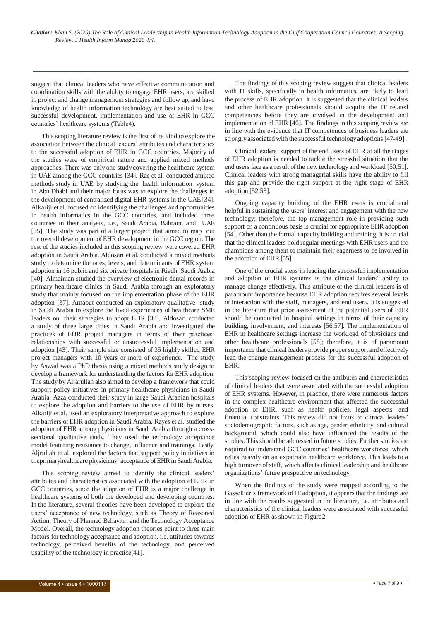suggest that clinical leaders who have effective communication and coordination skills with the ability to engage EHR users, are skilled in project and change management strategies and follow up, and have knowledge of health information technology are best suited to lead successful development, implementation and use of EHR in GCC countries' healthcare systems (Table4).

This scoping literature review is the first of its kind to explore the association between the clinical leaders' attributes and characteristics to the successful adoption of EHR in GCC countries. Majority of the studies were of empirical nature and applied mixed methods approaches. There was only one study covering the healthcare system in UAE among the GCC countries [34]. Rae et al. conducted amixed methods study in UAE by studying the health information system in Abu Dhabi and their major focus was to explore the challenges in the development of centralized digital EHR systems in the UAE [34]. Alkariji et al. focused on identifying the challenges and opportunities in health informatics in the GCC countries, and included three countries in their analysis, i.e., Saudi Arabia, Bahrain, and UAE [35]. The study was part of a larger project that aimed to map out the overall development of EHR development in the GCC region. The rest of the studies included in this scoping review were covered EHR adoption in Saudi Arabia. Aldosari et al. conducted a mixed methods study to determine the rates, levels, and determinants of EHR system adoption in 16 public and six private hospitals in Riadh, Saudi Arabia [40]. Almaiman studied the overview of electronic dental records in primary healthcare clinics in Saudi Arabia through an exploratory study that mainly focused on the implementation phase of the EHR adoption [37]. Arnaout conducted an exploratory qualitative study in Saudi Arabia to explore the lived experiences of healthcare SME leaders on their strategies to adopt EHR [38]. Aldosari conducted a study of three large cities in Saudi Arabia and investigated the practices of EHR project managers in terms of their practices' relationships with successful or unsuccessful implementation and adoption [43]. Their sample size consisted of 35 highly skilled EHR project managers with 10 years or more of experience. The study by Aswad was a PhD thesis using a mixed methods study design to develop a framework for understanding the factors for EHR adoption. The study by Aljarullah also aimed to develop a framework that could support policy initiatives in primary healthcare physicians in Saudi Arabia. Azza conducted their study in large Saudi Arabian hospitals to explore the adoption and barriers to the use of EHR by nurses. Alkariji et al. used an exploratory interpretative approach to explore the barriers of EHR adoption in Saudi Arabia. Rayes et al. studied the adoption of EHR among physicians in Saudi Arabia through a crosssectional qualitative study. They used the technology acceptance model featuring resistance to change, influence and trainings. Lastly, Aljrullah et al. explored the factors that support policy initiatives in theprimaryhealthcare physicians' acceptance of EHR in Saudi Arabia.

This scoping review aimed to identify the clinical leaders' attributes and characteristics associated with the adoption of EHR in GCC countries, since the adoption of EHR is a major challenge in healthcare systems of both the developed and developing countries. In the literature, several theories have been developed to explore the users' acceptance of new technology, such as Theory of Reasoned Action, Theory of Planned Behavior, and the Technology Acceptance Model. Overall, the technology adoption theories point to three main factors for technology acceptance and adoption, i.e. attitudes towards technology, perceived benefits of the technology, and perceived usability of the technology in practice[41].

The findings of this scoping review suggest that clinical leaders with IT skills, specifically in health informatics, are likely to lead the process of EHR adoption. It is suggested that the clinical leaders and other healthcare professionals should acquire the IT related competencies before they are involved in the development and implementation of EHR [46]. The findings in this scoping review are in line with the evidence that IT competences of business leaders are stronglyassociated with the successful technologyadoptions [47-49].

Clinical leaders' support of the end users of EHR at all the stages of EHR adoption is needed to tackle the stressful situation that the end users face as a result of the new technology and workload [50,51]. Clinical leaders with strong managerial skills have the ability to fill this gap and provide the right support at the right stage of EHR adoption [52,53].

Ongoing capacity building of the EHR users is crucial and helpful in sustaining the users' interest and engagement with the new technology; therefore, the top management role in providing such support on a continuous basis is crucial for appropriate EHR adoption [54]. Other than the formal capacity building and training, it is crucial that the clinical leaders hold regular meetings with EHR users and the champions among them to maintain their eagerness to be involved in the adoption of EHR [55].

One of the crucial steps in leading the successful implementation and adoption of EHR systems is the clinical leaders' ability to manage change effectively. This attribute of the clinical leaders is of paramount importance because EHR adoption requires several levels of interaction with the staff, managers, and end users. It is suggested in the literature that prior assessment of the potential users of EHR should be conducted in hospital settings in terms of their capacity building, involvement, and interests [56,57]. The implementation of EHR in healthcare settings increase the workload of physicians and other healthcare professionals [58]; therefore, it is of paramount importance that clinical leaders provide propersupport and effectively lead the change management process for the successful adoption of EHR.

This scoping review focused on the attributes and characteristics of clinical leaders that were associated with the successful adoption of EHR systems. However, in practice, there were numerous factors in the complex healthcare environment that affected the successful adoption of EHR, such as health policies, legal aspects, and financial constraints. This review did not focus on clinical leaders' sociodemographic factors, such as age, gender, ethnicity, and cultural background, which could also have influenced the results of the studies. This should be addressed in future studies. Further studies are required to understand GCC countries' healthcare workforce, which relies heavily on an expatriate healthcare workforce. This leads to a high turnover of staff, which affects clinical leadership and healthcare organizations' future prospective on technology.

When the findings of the study were mapped according to the Bassellier's framework of IT adoption, it appears that the findings are in line with the results suggested in the literature, i.e. attributes and characteristics of the clinical leaders were associated with successful adoption of EHR as shown in Figure2.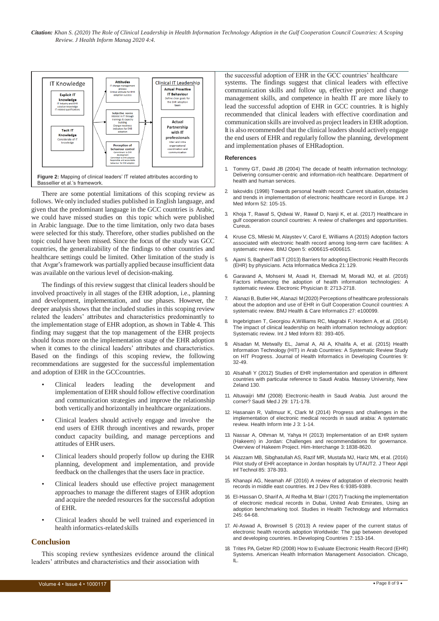*Citation: Khan S. (2020) The Role of Clinical Leadership in Health Information Technology Adoption in the Gulf Cooperation Council Countries: A Scoping Review. J Health Inform Manag 2020 4:4.*



There are some potential limitations of this scoping review as follows. We only included studies published in English language, and given that the predominant language in the GCC countries is Arabic, we could have missed studies on this topic which were published in Arabic language. Due to the time limitation, only two data bases were selected for this study. Therefore, other studies published on the topic could have been missed. Since the focus of the study was GCC countries, the generalizability of the findings to other countries and healthcare settings could be limited. Other limitation of the study is that Avgar's framework was partially applied because insufficient data was available on the various level of decision-making.

The findings of this review suggest that clinical leaders should be involved proactively in all stages of the EHR adoption, i.e., planning and development, implementation, and use phases. However, the deeper analysis shows that the included studies in this scoping review related the leaders' attributes and characteristics predominantly to the implementation stage of EHR adoption, as shown in Table 4. This finding may suggest that the top management of the EHR projects should focus more on the implementation stage of the EHR adoption when it comes to the clinical leaders' attributes and characteristics. Based on the findings of this scoping review, the following recommendations are suggested for the successful implementation and adoption of EHR in the GCCcountries.

- Clinical leaders leading the development and implementation ofEHR should follow effective coordination and communication strategies and improve the relationship both vertically and horizontally in healthcare organizations.
- Clinical leaders should actively engage and involve the end users of EHR through incentives and rewards, proper conduct capacity building, and manage perceptions and attitudes of EHR users.
- Clinical leaders should properly follow up during the EHR planning, development and implementation, and provide feedback on the challenges that the users face in practice.
- Clinical leaders should use effective project management approaches to manage the different stages of EHR adoption and acquire the needed resources for the successful adoption of EHR.
- Clinical leaders should be well trained and experienced in health informatics-related skills

# **Conclusion**

This scoping review synthesizes evidence around the clinical leaders' attributes and characteristics and their association with

the successful adoption of EHR in the GCC countries' healthcare systems. The findings suggest that clinical leaders with effective communication skills and follow up, effective project and change management skills, and competence in health IT are more likely to lead the successful adoption of EHR in GCC countries. It is highly recommended that clinical leaders with effective coordination and communication skills are involved as project leadersin EHRadoption. It is also recommended that the clinical leaders should activelyengage the end users of EHR and regularly follow the planning, development and implementation phases of EHRadoption.

### **References**

- 1. Tommy GT, David JB (2004) The decade of health information technology: Delivering consumer-centric and information-rich healthcare. Department of health and human services.
- 2. Iakovidis (1998) Towards personal health record: Current situation, obstacles and trends in implementation of electronic healthcare record in Europe. Int J Med Inform 52: 105-15.
- 3. Khoja T, Rawaf S, Qidwai W, Rawaf D, Nanji K, et al. (2017) Healthcare in gulf cooperation council countries: A review of challenges and opportunities. Cureus.
- 4. Kruse CS, Mileski M, Alaystev V, Carol E, Williams A (2015) Adoption factors associated with electronic health record among long-term care facilities: A systematic review. BMJ Open 5: e006615-e006615.
- 5. Ajami S, BagheriTadi T (2013) Barriers for adopting Electronic Health Records (EHR) by physicians. Acta Informatica Medica 21:129.
- 6. Garavand A, Mohseni M, Asadi H, Etemadi M, Moradi MJ, et al. (2016) Factors influencing the adoption of health information technologies: A systematic review. Electronic Physician 8: 2713-2718.
- 7. Alanazi B, Butler HK, Alanazi M(2020) Perceptions of healthcare professionals about the adoption and use of EHR in Gulf Cooperation Council countries: A systematic review. BMJ Health & Care Informatics 27: e100099.
- 8. Ingebrigtsen T, Georgiou A,Williams RC, Magrabi F, Hordern A, et al. (2014) The impact of clinical leadership on health information technology adoption: Systematic review. Int J Med Inform 83: 393-405.
- 9. Alsadan M, Metwally EL, Jamal A, Ali A, Khalifa A, et al. (2015) Health Information Technology (HIT) in Arab Countries: A Systematic Review Study on HIT Progress. Journal of Health Informatics in Developing Countries 9: 32-49.
- 10. Alsahafi Y (2012) Studies of EHR implementation and operation in different countries with particular reference to Saudi Arabia. Massey University, New Zeland 130.
- 11. Altuwaijri MM (2008) Electronic-health in Saudi Arabia. Just around the corner? Saudi Med J 29: 171-178.
- 12. Hasanain R, Vallmuur K, Clark M (2014) Progress and challenges in the implementation of electronic medical records in saudi arabia: A systematic review. Health Inform Inte J 3: 1-14.
- 13. Nassar A, Othman M, Yahya H (2013) Implementation of an EHR system (Hakeem) in Jordan: Challenges and recommendations for governance. Overview of Hakeem Project. Him-Interchange 3: 1838-8620.
- 14. Alazzam MB, Sibghatullah AS, Razif MR, Mustafa MJ, Hariz MN, et al. (2016) Pilot study of EHR acceptance in Jordan hospitals by UTAUT2. J Theor Appl Inf Technol 85: 378-393.
- 15. Khanapi AG, Neamah AF (2016) A review of adoptation of electronic health records in middle east countries. Int J Dev Res 6: 9385-9389.
- 16. El-Hassan O, Sharif A, Al Redha M, Blair l (2017) Tracking the implementation of electronic medical records in Dubai, United Arab Emirates, Using an adoption benchmarking tool. Studies in Health Technology and Informatics 245: 64-68.
- 17. Al-Aswad A, Brownsell S (2013) A review paper of the current status of electronic health records adoption Worldwide: The gap between developed and developing countries. In Developing Countries 7: 153-164.
- 18. Trites PA, Gelzer RD (2008) How to Evaluate Electronic Health Record (EHR) Systems. American Health Information Management Association. Chicago, IL.